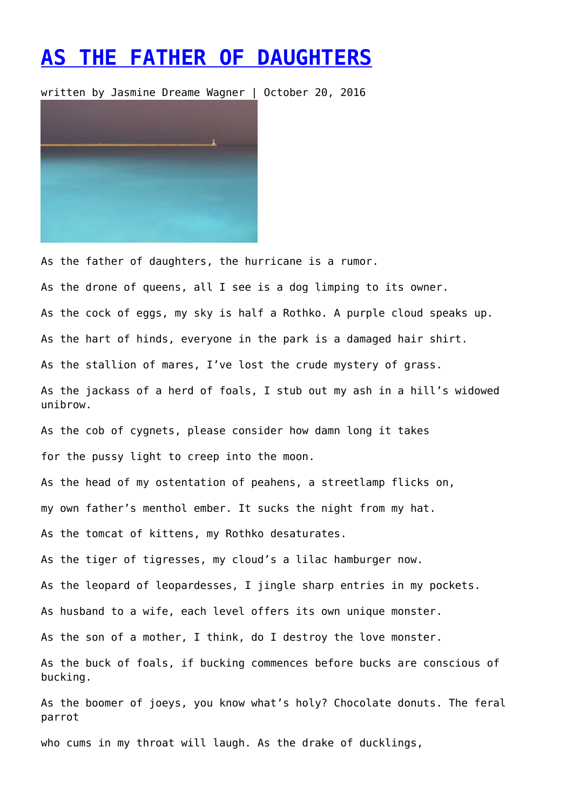## **[AS THE FATHER OF DAUGHTERS](https://entropymag.org/as-the-father-of-daughters/)**

written by Jasmine Dreame Wagner | October 20, 2016



As the father of daughters, the hurricane is a rumor. As the drone of queens, all I see is a dog limping to its owner. As the cock of eggs, my sky is half a Rothko. A purple cloud speaks up. As the hart of hinds, everyone in the park is a damaged hair shirt. As the stallion of mares, I've lost the crude mystery of grass. As the jackass of a herd of foals, I stub out my ash in a hill's widowed unibrow. As the cob of cygnets, please consider how damn long it takes

for the pussy light to creep into the moon.

As the head of my ostentation of peahens, a streetlamp flicks on,

my own father's menthol ember. It sucks the night from my hat.

As the tomcat of kittens, my Rothko desaturates.

As the tiger of tigresses, my cloud's a lilac hamburger now.

As the leopard of leopardesses, I jingle sharp entries in my pockets.

As husband to a wife, each level offers its own unique monster.

As the son of a mother, I think, do I destroy the love monster.

As the buck of foals, if bucking commences before bucks are conscious of bucking.

As the boomer of joeys, you know what's holy? Chocolate donuts. The feral parrot

who cums in my throat will laugh. As the drake of ducklings,